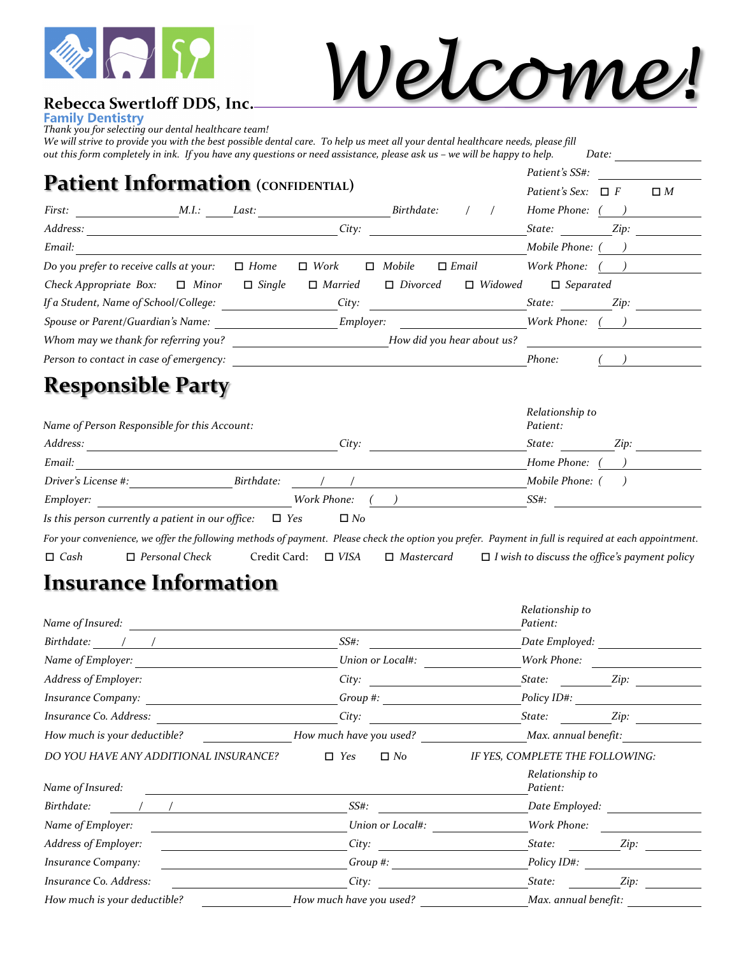

# *Welcome!*

#### Rebecca Swertloff DDS, Inc.

**Family Dentistry** 

*Thank you for selecting our dental healthcare team!*

*We will strive to provide you with the best possible dental care. To help us meet all your dental healthcare needs, please fill out this form completely in ink. If you have any questions or need assistance, please ask us – we will be happy to help. Date:*

| Patient's SS#:<br><b>Patient Information</b> (CONFIDENTIAL)<br>Patient's Sex: |  |               |                |                            |                |                   |          |          |
|-------------------------------------------------------------------------------|--|---------------|----------------|----------------------------|----------------|-------------------|----------|----------|
|                                                                               |  |               |                |                            |                |                   | $\Box$ F | $\Box M$ |
| First: M.I.: Last:                                                            |  |               |                | Birthdate:                 |                | Home Phone: ()    |          |          |
| Address:                                                                      |  |               | City:          |                            |                | State:            | Zip:     |          |
| Email:                                                                        |  |               |                |                            |                | Mobile Phone: ()  |          |          |
| Do you prefer to receive calls at your:                                       |  | $\Box$ Home   | $\Box$ Work    | $\Box$ Mobile              | $\Box$ Email   | Work Phone: $($ ) |          |          |
| Check Appropriate Box: $\Box$ Minor                                           |  | $\Box$ Single | $\Box$ Married | $\Box$ Divorced            | $\Box$ Widowed | $\Box$ Separated  |          |          |
| If a Student, Name of School/College:                                         |  |               | City:          |                            |                | State: Zip:       |          |          |
| Spouse or Parent/Guardian's Name:                                             |  |               | Employer:      |                            |                | Work Phone:       |          |          |
| Whom may we thank for referring you?                                          |  |               |                | How did you hear about us? |                |                   |          |          |
| Person to contact in case of emergency:                                       |  |               |                |                            |                | Phone:            |          |          |
| <b>Responsible Party</b>                                                      |  |               |                |                            |                |                   |          |          |

| Name of Person Responsible for this Account:      |                         | Relationship to<br>Patient: |
|---------------------------------------------------|-------------------------|-----------------------------|
| Address:                                          | City:                   | State:<br>Zip:              |
| Email:                                            |                         | Home Phone:                 |
| Driver's License #:                               | Birthdate:              | Mobile Phone: ()            |
| <i>Employer:</i>                                  | Work Phone:             | $SS#$ :                     |
| Is this person currently a patient in our office: | $\Box$ Yes<br>$\Box$ No |                             |

*For your convenience, we offer the following methods of payment. Please check the option you prefer. Payment in full is required at each appointment. Cash Personal Check* Credit Card: *VISA Mastercard I wish to discuss the office's payment policy*

### **Insurance Information**

| Name of Insured:                      |                         | Relationship to<br>Patient:     |      |
|---------------------------------------|-------------------------|---------------------------------|------|
| Birthdate:                            | $SS#$ :                 | Date Employed:                  |      |
| Name of Employer:                     | Union or Local#:        | Work Phone:                     |      |
| Address of Employer:                  | City:                   | State:                          | Zip: |
| <b>Insurance Company:</b>             | Group #:                | Policy ID#:                     |      |
| Insurance Co. Address:                | City:                   | State:                          | Zip: |
| How much is your deductible?          | How much have you used? | Max. annual benefit:            |      |
| DO YOU HAVE ANY ADDITIONAL INSURANCE? | $\Box$ Yes<br>$\Box$ No | IF YES, COMPLETE THE FOLLOWING: |      |
| Name of Insured:                      |                         | Relationship to<br>Patient:     |      |
| Birthdate:                            | $SS#$ :                 | Date Employed:                  |      |
| Name of Employer:                     | Union or Local#:        | Work Phone:                     |      |
| Address of Employer:                  | City:                   | State:                          | Zip: |
| <b>Insurance Company:</b>             | Group #:                | Policy ID#:                     |      |
| Insurance Co. Address:                | City:                   | State:                          | Zip: |
| How much is your deductible?          | How much have you used? | Max. annual benefit:            |      |